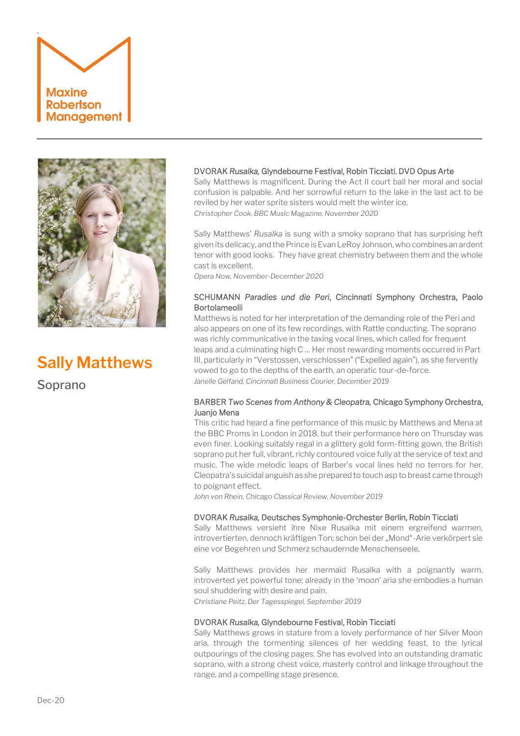



# **Sally Matthews**

Soprano

# DVORAK *Rusalka,* Glyndebourne Festival, Robin Ticciati. DVD Opus Arte

Sally Matthews is magnificent. During the Act II court ball her moral and social confusion is palpable. And her sorrowful return to the lake in the last act to be reviled by her water sprite sisters would melt the winter ice. *Christopher Cook, BBC Music Magazine, November 2020*

Sally Matthews' *Rusalka* is sung with a smoky soprano that has surprising heft given its delicacy, and the Prince is Evan LeRoy Johnson, who combines an ardent tenor with good looks. They have great chemistry between them and the whole cast is excellent.

*Opera Now, November-December 2020*

# SCHUMANN *Paradies und die Peri*, Cincinnati Symphony Orchestra, Paolo Bortolameolli

Matthews is noted for her interpretation of the demanding role of the Peri and also appears on one of its few recordings, with Rattle conducting. The soprano was richly communicative in the taxing vocal lines, which called for frequent leaps and a culminating high C … Her most rewarding moments occurred in Part III, particularly in "Verstossen, verschlossen" ("Expelled again"), as she fervently vowed to go to the depths of the earth, an operatic tour-de-force. *Janelle Gelfand, Cincinnati Business Courier, December 2019*

# BARBER *Two Scenes from Anthony & Cleopatra,* Chicago Symphony Orchestra, Juanjo Mena

This critic had heard a fine performance of this music by Matthews and Mena at the BBC Proms in London in 2018, but their performance here on Thursday was even finer. Looking suitably regal in a glittery gold form-fitting gown, the British soprano put her full, vibrant, richly contoured voice fully at the service of text and music. The wide melodic leaps of Barber's vocal lines held no terrors for her. Cleopatra's suicidal anguish as she prepared to touch asp to breast came through to poignant effect.

*John von Rhein, Chicago Classical Review, November 2019* 

## DVORAK *Rusalka,* Deutsches Symphonie-Orchester Berlin, Robin Ticciati

Sally Matthews versieht ihre Nixe Rusalka mit einem ergreifend warmen, introvertierten, dennoch kräftigen Ton; schon bei der "Mond"-Arie verkörpert sie eine vor Begehren und Schmerz schaudernde Menschenseele.

Sally Matthews provides her mermaid Rusalka with a poignantly warm, introverted yet powerful tone; already in the 'moon' aria she embodies a human soul shuddering with desire and pain. *Christiane Peitz, Der Tagesspiegel, September 2019*

# DVORAK *Rusalka,* Glyndebourne Festival, Robin Ticciati

Sally Matthews grows in stature from a lovely performance of her Silver Moon aria, through the tormenting silences of her wedding feast, to the lyrical outpourings of the closing pages. She has evolved into an outstanding dramatic soprano, with a strong chest voice, masterly control and linkage throughout the range, and a compelling stage presence.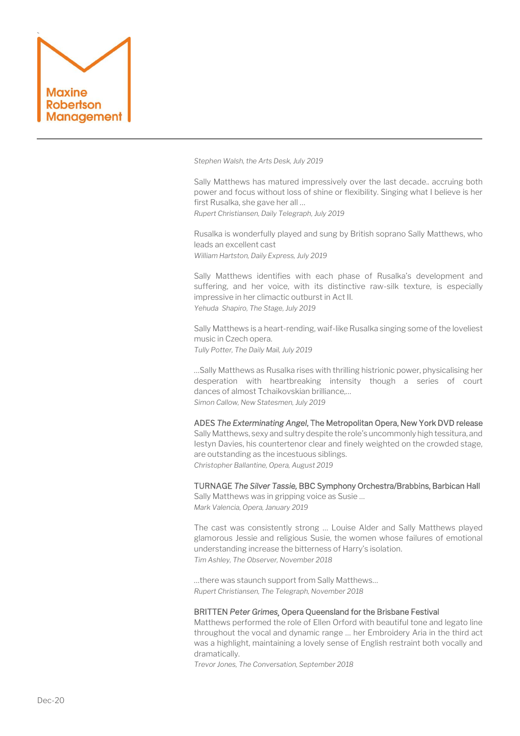

*Stephen Walsh, the Arts Desk, July 2019*

Sally Matthews has matured impressively over the last decade.. accruing both power and focus without loss of shine or flexibility. Singing what I believe is her first Rusalka, she gave her all … *Rupert Christiansen, Daily Telegraph, July 2019*

Rusalka is wonderfully played and sung by British soprano Sally Matthews, who leads an excellent cast *William Hartston, Daily Express, July 2019*

Sally Matthews identifies with each phase of Rusalka's development and suffering, and her voice, with its distinctive raw-silk texture, is especially impressive in her climactic outburst in Act II. *Yehuda Shapiro, The Stage, July 2019*

Sally Matthews is a heart-rending, waif-like Rusalka singing some of the loveliest music in Czech opera. *Tully Potter, The Daily Mail, July 2019*

…Sally Matthews as Rusalka rises with thrilling histrionic power, physicalising her desperation with heartbreaking intensity though a series of court dances of almost Tchaikovskian brilliance,… *Simon Callow, New Statesmen, July 2019*

## ADES *The Exterminating Angel*, The Metropolitan Opera, New York DVD release

Sally Matthews, sexy and sultry despite the role's uncommonly high tessitura, and Iestyn Davies, his countertenor clear and finely weighted on the crowded stage, are outstanding as the incestuous siblings. *Christopher Ballantine, Opera, August 2019*

TURNAGE *The Silver Tassie,* BBC Symphony Orchestra/Brabbins, Barbican Hall Sally Matthews was in gripping voice as Susie … *Mark Valencia, Opera, January 2019*

The cast was consistently strong … Louise Alder and Sally Matthews played glamorous Jessie and religious Susie, the women whose failures of emotional understanding increase the bitterness of Harry's isolation. *Tim Ashley, The Observer, November 2018*

…there was staunch support from Sally Matthews… *Rupert Christiansen, The Telegraph, November 2018*

#### BRITTEN *Peter Grimes¸* Opera Queensland for the Brisbane Festival

Matthews performed the role of Ellen Orford with beautiful tone and legato line throughout the vocal and dynamic range … her Embroidery Aria in the third act was a highlight, maintaining a lovely sense of English restraint both vocally and dramatically.

*Trevor Jones, The Conversation, September 2018*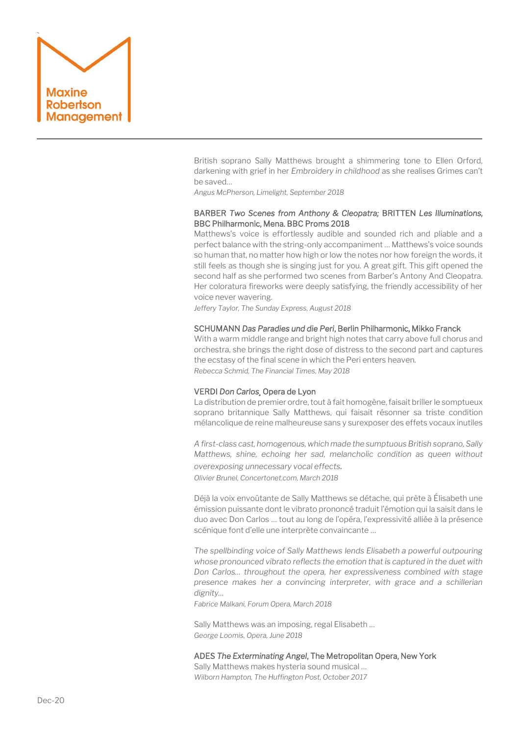

British soprano Sally Matthews brought a shimmering tone to Ellen Orford, darkening with grief in her *Embroidery in childhood* as she realises Grimes can't be saved…

*Angus McPherson, Limelight, September 2018*

# BARBER *Two Scenes from Anthony & Cleopatra;* BRITTEN *Les Illuminations,*  BBC Philharmonic, Mena. BBC Proms 2018

Matthews's voice is effortlessly audible and sounded rich and pliable and a perfect balance with the string-only accompaniment … Matthews's voice sounds so human that, no matter how high or low the notes nor how foreign the words, it still feels as though she is singing just for you. A great gift. This gift opened the second half as she performed two scenes from Barber's Antony And Cleopatra. Her coloratura fireworks were deeply satisfying, the friendly accessibility of her voice never wavering.

*Jeffery Taylor, The Sunday Express, August 2018*

## SCHUMANN *Das Paradies und die Peri*, Berlin Philharmonic, Mikko Franck

With a warm middle range and bright high notes that carry above full chorus and orchestra, she brings the right dose of distress to the second part and captures the ecstasy of the final scene in which the Peri enters heaven. *Rebecca Schmid, The Financial Times, May 2018*

## VERDI *Don Carlos¸* Opera de Lyon

La distribution de premier ordre, tout à fait homogène, faisait briller le somptueux soprano britannique Sally Matthews, qui faisait résonner sa triste condition mélancolique de reine malheureuse sans y surexposer des effets vocaux inutiles

*A first-class cast, homogenous, which made the sumptuous British soprano, Sally Matthews, shine, echoing her sad, melancholic condition as queen without overexposing unnecessary vocal effects. Olivier Brunel, Concertonet.com, March 2018*

Déjà la voix envoûtante de Sally Matthews se détache, qui prête à Élisabeth une émission puissante dont le vibrato prononcé traduit l'émotion qui la saisit dans le duo avec Don Carlos … tout au long de l'opéra, l'expressivité alliée à la présence scénique font d'elle une interprète convaincante …

*The spellbinding voice of Sally Matthews lends Elisabeth a powerful outpouring whose pronounced vibrato reflects the emotion that is captured in the duet with Don Carlos… throughout the opera, her expressiveness combined with stage presence makes her a convincing interpreter, with grace and a schillerian dignity…*

*Fabrice Malkani, Forum Opera, March 2018*

Sally Matthews was an imposing, regal Elisabeth … *George Loomis, Opera, June 2018*

#### ADES *The Exterminating Angel*, The Metropolitan Opera, New York

Sally Matthews makes hysteria sound musical … *Wilborn Hampton, The Huffington Post, October 2017*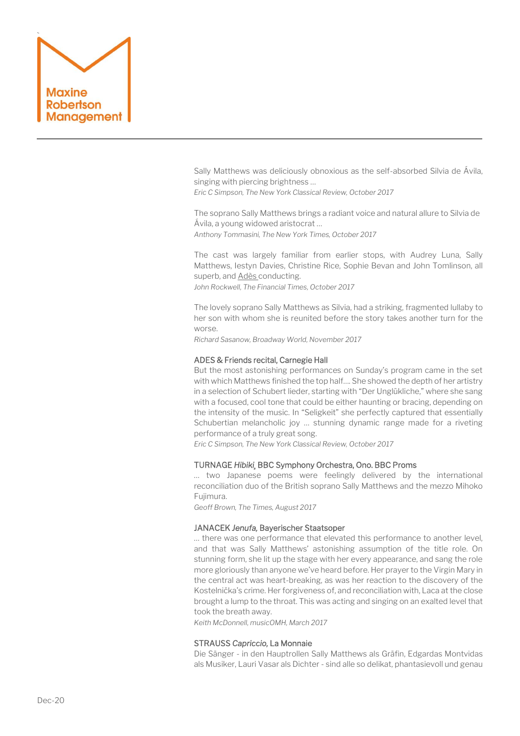

Sally Matthews was deliciously obnoxious as the self-absorbed Silvia de Ávila, singing with piercing brightness …

*Eric C Simpson, The New York Classical Review, October 2017*

The soprano Sally Matthews brings a radiant voice and natural allure to Silvia de Ávila, a young widowed aristocrat … *Anthony Tommasini, The New York Times, October 2017*

The cast was largely familiar from earlier stops, with Audrey Luna, Sally Matthews, [Iestyn Davies,](https://www.ft.com/content/5419c18a-c5ed-11e6-9043-7e34c07b46ef) Christine Rice, Sophie Bevan and John Tomlinson, all superb, an[d Adès c](https://www.ft.com/content/0965c3d0-aa79-11e6-ba7d-76378e4fef24)onducting.

*John Rockwell, The Financial Times, October 2017*

The lovely soprano Sally Matthews as Silvia, had a striking, fragmented lullaby to her son with whom she is reunited before the story takes another turn for the worse.

*Richard Sasanow, Broadway World, November 2017*

## ADES & Friends recital, Carnegie Hall

But the most astonishing performances on Sunday's program came in the set with which Matthews finished the top half…. She showed the depth of her artistry in a selection of Schubert lieder, starting with "Der Unglükliche," where she sang with a focused, cool tone that could be either haunting or bracing, depending on the intensity of the music. In "Seligkeit" she perfectly captured that essentially Schubertian melancholic joy … stunning dynamic range made for a riveting performance of a truly great song.

*Eric C Simpson, The New York Classical Review, October 2017*

## TURNAGE *Hibiki¸* BBC Symphony Orchestra, Ono. BBC Proms

… two Japanese poems were feelingly delivered by the international reconciliation duo of the British soprano Sally Matthews and the mezzo Mihoko Fujimura.

*Geoff Brown, The Times, August 2017*

## JANACEK *Jenufa,* Bayerischer Staatsoper

… there was one performance that elevated this performance to another level, and that was Sally Matthews' astonishing assumption of the title role. On stunning form, she lit up the stage with her every appearance, and sang the role more gloriously than anyone we've heard before. Her prayer to the Virgin Mary in the central act was heart-breaking, as was her reaction to the discovery of the Kostelnička's crime. Her forgiveness of, and reconciliation with, Laca at the close brought a lump to the throat. This was acting and singing on an exalted level that took the breath away.

*Keith McDonnell, musicOMH, March 2017*

## STRAUSS *Capriccio,* La Monnaie

Die Sänger - in den Hauptrollen Sally Matthews als Gräfin, Edgardas Montvidas als Musiker, Lauri Vasar als Dichter - sind alle so delikat, phantasievoll und genau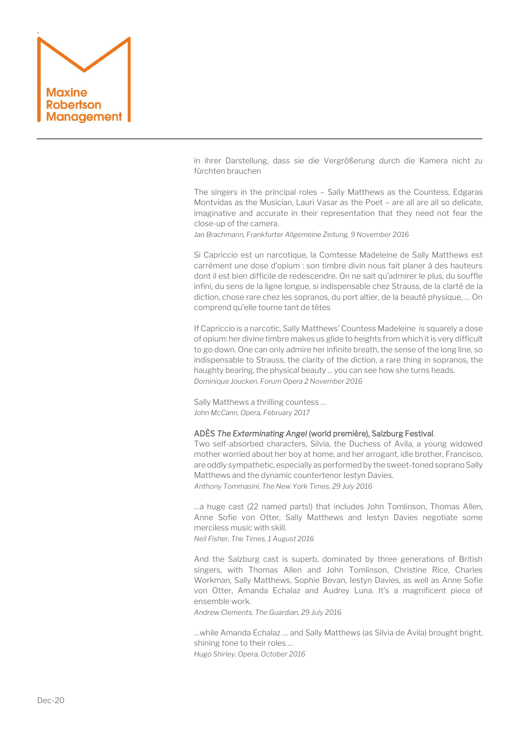

in ihrer Darstellung, dass sie die Vergrößerung durch die Kamera nicht zu fürchten brauchen

The singers in the principal roles – Sally Matthews as the Countess, Edgaras Montvidas as the Musician, Lauri Vasar as the Poet – are all are all so delicate, imaginative and accurate in their representation that they need not fear the close-up of the camera.

*Jan Brachmann, Frankfurter Allgemeine Zeitung, 9 November 2016*

Si Capriccio est un narcotique, la Comtesse Madeleine de Sally Matthews est carrément une dose d'opium : son timbre divin nous fait planer à des hauteurs dont il est bien difficile de redescendre. On ne sait qu'admirer le plus, du souffle infini, du sens de la ligne longue, si indispensable chez Strauss, de la clarté de la diction, chose rare chez les sopranos, du port altier, de la beauté physique, … On comprend qu'elle tourne tant de têtes

If Capriccio is a narcotic, Sally Matthews' Countess Madeleine is squarely a dose of opium: her divine timbre makes us glide to heights from which it is very difficult to go down. One can only admire her infinite breath, the sense of the long line, so indispensable to Strauss, the clarity of the diction, a rare thing in sopranos, the haughty bearing, the physical beauty ... you can see how she turns heads. *Dominique Joucken, Forum Opera 2 November 2016*

Sally Matthews a thrilling countess … *John McCann, Opera, February 2017*

## ADÈS *The Exterminating Angel* (world première), Salzburg Festival.

Two self-absorbed characters, Silvia, the Duchess of Avila, a young widowed mother worried about her boy at home, and her arrogant, idle brother, Francisco, are oddly sympathetic, especially as performed by the sweet-toned soprano Sally Matthews and the dynamic countertenor Iestyn Davies. *Anthony Tommasini, The New York Times, 29 July 2016*

…a huge cast (22 named parts!) that includes John Tomlinson, Thomas Allen, Anne Sofie von Otter, Sally Matthews and Iestyn Davies negotiate some merciless music with skill. *Neil Fisher, The Times, 1 August 2016*

And the Salzburg cast is superb, dominated by three generations of British singers, with Thomas Allen and [John Tomlinson,](https://www.theguardian.com/music/2016/may/24/oedipe-review-enescu-royal-opera-house-london) Christine Rice, Charles Workman, Sally Matthews, Sophie Bevan, [Iestyn Davies,](https://www.theguardian.com/music/2015/jan/26/facing-the-music-iestyn-davies) as well as [Anne Sofie](https://www.theguardian.com/music/2005/aug/05/classicalmusicandopera.proms2005)  [von Otter](https://www.theguardian.com/music/2005/aug/05/classicalmusicandopera.proms2005), Amanda Echalaz and Audrey Luna. It's a magnificent piece of ensemble work.

*Andrew Clements, The Guardian, 29 July 2016*

…while Amanda Echalaz … and Sally Matthews (as Silvia de Avila) brought bright, shining tone to their roles … *Hugo Shirley, Opera, October 2016*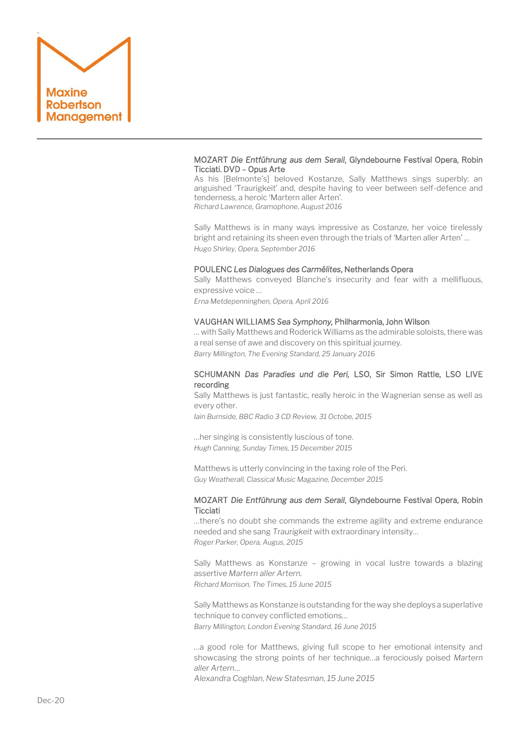

## MOZART *Die Entführung aus dem Serail*, Glyndebourne Festival Opera, Robin Ticciati. DVD – Opus Arte

As his [Belmonte's] beloved Kostanze, Sally Matthews sings superbly: an anguished 'Traurigkeit' and, despite having to veer between self-defence and tenderness, a heroic 'Martern aller Arten'. *Richard Lawrence, Gramophone, August 2016*

Sally Matthews is in many ways impressive as Costanze, her voice tirelessly bright and retaining its sheen even through the trials of 'Marten aller Arten' … *Hugo Shirley, Opera, September 2016*

## POULENC *Les Dialogues des Carmélites*, Netherlands Opera

Sally Matthews conveyed Blanche's insecurity and fear with a mellifluous, expressive voice …

*Erna Metdepenninghen, Opera, April 2016*

# VAUGHAN WILLIAMS *Sea Symphony,* Philharmonia, John Wilson

… with Sally Matthews and Roderick Williams as the admirable soloists, there was a real sense of awe and discovery on this spiritual journey. *Barry Millington, The Evening Standard, 25 January 2016*

## SCHUMANN *Das Paradies und die Peri,* LSO, Sir Simon Rattle, LSO LIVE recording

Sally Matthews is just fantastic, really heroic in the Wagnerian sense as well as every other.

*Iain Burnside, BBC Radio 3 CD Review, 31 Octobe, 2015*

…her singing is consistently luscious of tone. *Hugh Canning, Sunday Times, 15 December 2015*

Matthews is utterly convincing in the taxing role of the Peri. *Guy Weatherall, Classical Music Magazine, December 2015*

## MOZART *Die Entführung aus dem Serail*, Glyndebourne Festival Opera, Robin **Ticciati**

…there's no doubt she commands the extreme agility and extreme endurance needed and she sang *Traurigkeit* with extraordinary intensity… *Roger Parker, Opera, Augus, 2015*

Sally Matthews as Konstanze – growing in vocal lustre towards a blazing assertive *Martern aller Artern. Richard Morrison, The Times, 15 June 2015*

Sally Matthews as Konstanze is outstanding for the way she deploys a superlative technique to convey conflicted emotions… *Barry Millington, London Evening Standard, 16 June 2015*

…a good role for Matthews, giving full scope to her emotional intensity and showcasing the strong points of her technique…a ferociously poised *Martern aller Artern*…

*Alexandra Coghlan, New Statesman, 15 June 2015*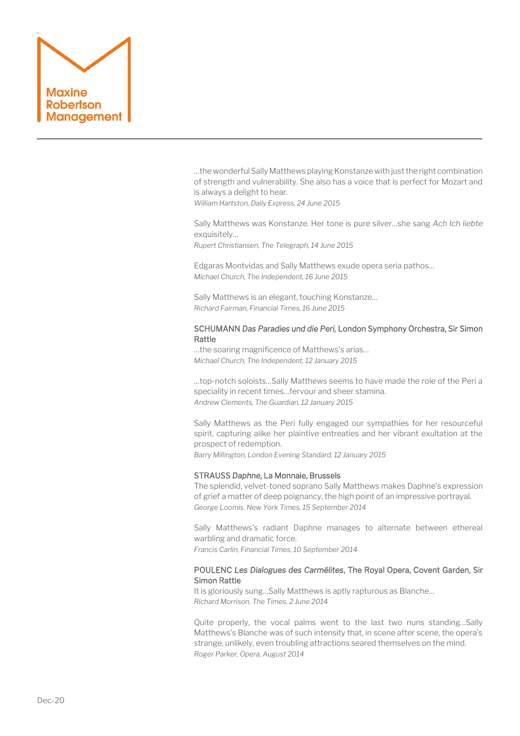

…the wonderful Sally Matthews playing Konstanze with just the right combination of strength and vulnerability. She also has a voice that is perfect for Mozart and is always a delight to hear.

*William Hartston, Daily Express, 24 June 2015*

Sally Matthews was Konstanze. Her tone is pure silver…she sang *Ach Ich liebte* exquisitely…

*Rupert Christiansen, The Telegraph, 14 June 2015*

Edgaras Montvidas and Sally Matthews exude opera seria pathos… *Michael Church, The Independent, 16 June 2015*

Sally Matthews is an elegant, touching Konstanze… *Richard Fairman, Financial Times, 16 June 2015*

## SCHUMANN *Das Paradies und die Peri,* London Symphony Orchestra, Sir Simon Rattle

…the soaring magnificence of Matthews's arias… *Michael Church, The Independent, 12 January 2015*

…top-notch soloists…Sally Matthews seems to have made the role of the Peri a speciality in recent times…fervour and sheer stamina. *Andrew Clements, The Guardian, 12 January 2015*

Sally Matthews as the Peri fully engaged our sympathies for her resourceful spirit, capturing alike her plaintive entreaties and her vibrant exultation at the prospect of redemption.

*Barry Millington, London Evening Standard, 12 January 2015*

## STRAUSS *Daphne*, La Monnaie, Brussels

The splendid, velvet-toned soprano Sally Matthews makes Daphne's expression of grief a matter of deep poignancy, the high point of an impressive portrayal. *George Loomis. New York Times, 15 September 2014*

Sally Matthews's radiant Daphne manages to alternate between ethereal warbling and dramatic force.

*Francis Carlin, Financial Times, 10 September 2014*

# POULENC *Les Dialogues des Carmélites*, The Royal Opera, Covent Garden, Sir Simon Rattle

It is gloriously sung…Sally Matthews is aptly rapturous as Blanche… *Richard Morrison, The Times, 2 June 2014*

Quite properly, the vocal palms went to the last two nuns standing…Sally Matthews's Blanche was of such intensity that, in scene after scene, the opera's strange, unlikely, even troubling attractions seared themselves on the mind. *Roger Parker, Opera, August 2014*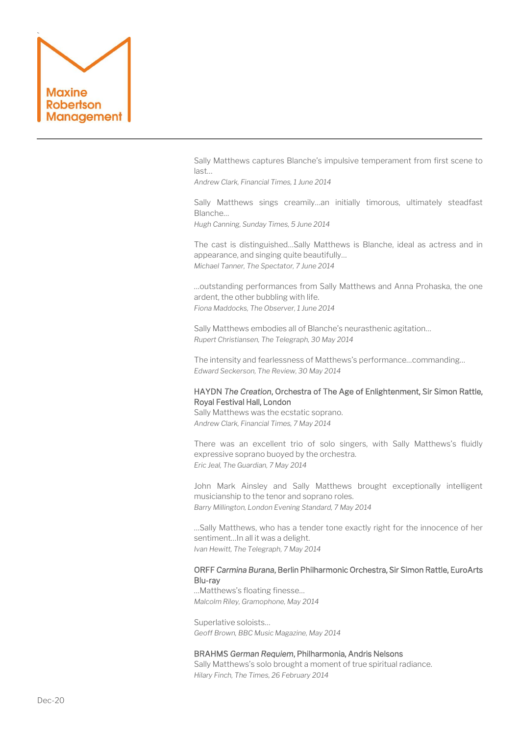

Sally Matthews captures Blanche's impulsive temperament from first scene to last…

*Andrew Clark, Financial Times, 1 June 2014*

Sally Matthews sings creamily…an initially timorous, ultimately steadfast Blanche…

*Hugh Canning, Sunday Times, 5 June 2014*

The cast is distinguished…Sally Matthews is Blanche, ideal as actress and in appearance, and singing quite beautifully… *Michael Tanner, The Spectator, 7 June 2014*

…outstanding performances from Sally Matthews and Anna Prohaska, the one ardent, the other bubbling with life. *Fiona Maddocks, The Observer, 1 June 2014* 

Sally Matthews embodies all of Blanche's neurasthenic agitation… *Rupert Christiansen, The Telegraph, 30 May 2014*

The intensity and fearlessness of Matthews's performance…commanding… *Edward Seckerson, The Review, 30 May 2014*

# HAYDN *The Creation*, Orchestra of The Age of Enlightenment, Sir Simon Rattle, Royal Festival Hall, London

Sally Matthews was the ecstatic soprano. *Andrew Clark, Financial Times, 7 May 2014*

There was an excellent trio of solo singers, with Sally Matthews's fluidly expressive soprano buoyed by the orchestra. *Eric Jeal, The Guardian, 7 May 2014*

John Mark Ainsley and Sally Matthews brought exceptionally intelligent musicianship to the tenor and soprano roles. *Barry Millington, London Evening Standard, 7 May 2014*

…Sally Matthews, who has a tender tone exactly right for the innocence of her sentiment…In all it was a delight. *Ivan Hewitt, The Telegraph, 7 May 2014*

## ORFF *Carmina Burana*, Berlin Philharmonic Orchestra, Sir Simon Rattle, EuroArts Blu-ray

…Matthews's floating finesse… *Malcolm Riley, Gramophone, May 2014*

Superlative soloists… *Geoff Brown, BBC Music Magazine, May 2014*

#### BRAHMS *German Requiem*, Philharmonia, Andris Nelsons

Sally Matthews's solo brought a moment of true spiritual radiance. *Hilary Finch, The Times, 26 February 2014*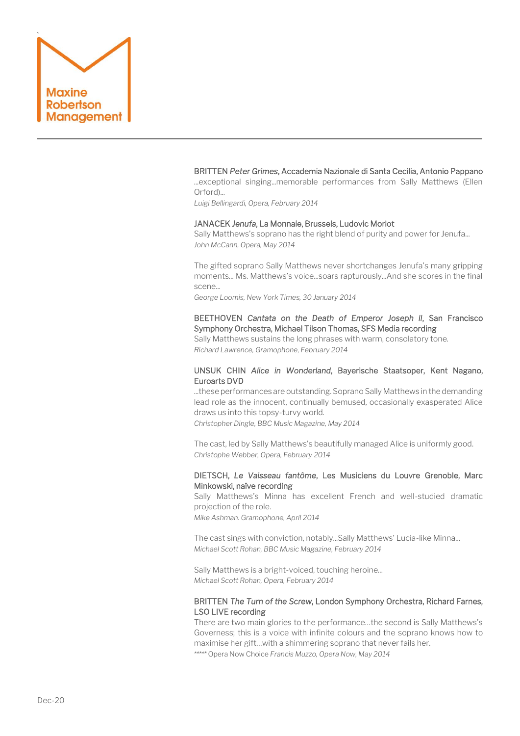

## BRITTEN *Peter Grimes*, Accademia Nazionale di Santa Cecilia, Antonio Pappano

...exceptional singing...memorable performances from Sally Matthews (Ellen Orford)...

*Luigi Bellingardi, Opera, February 2014*

#### JANACEK *Jenufa*, La Monnaie, Brussels, Ludovic Morlot

Sally Matthews's soprano has the right blend of purity and power for Jenufa... *John McCann, Opera, May 2014*

The gifted soprano Sally Matthews never shortchanges Jenufa's many gripping moments... Ms. Matthews's voice...soars rapturously...And she scores in the final scene...

*George Loomis, New York Times, 30 January 2014*

# BEETHOVEN *Cantata on the Death of Emperor Joseph ll*, San Francisco Symphony Orchestra, Michael Tilson Thomas, SFS Media recording

Sally Matthews sustains the long phrases with warm, consolatory tone. *Richard Lawrence, Gramophone, February 2014*

# UNSUK CHIN *Alice in Wonderland*, Bayerische Staatsoper, Kent Nagano, Euroarts DVD

...these performances are outstanding. Soprano Sally Matthews in the demanding lead role as the innocent, continually bemused, occasionally exasperated Alice draws us into this topsy-turvy world.

*Christopher Dingle, BBC Music Magazine, May 2014*

The cast, led by Sally Matthews's beautifully managed Alice is uniformly good. *Christophe Webber, Opera, February 2014* 

## DIETSCH, *Le Vaisseau fantôme*, Les Musiciens du Louvre Grenoble, Marc Minkowski, naïve recording

Sally Matthews's Minna has excellent French and well-studied dramatic projection of the role.

*Mike Ashman. Gramophone, April 2014*

The cast sings with conviction, notably...Sally Matthews' Lucia-like Minna... *Michael Scott Rohan, BBC Music Magazine, February 2014*

Sally Matthews is a bright-voiced, touching heroine... *Michael Scott Rohan, Opera, February 2014*

# BRITTEN *The Turn of the Screw*, London Symphony Orchestra, Richard Farnes, LSO LIVE recording

There are two main glories to the performance…the second is Sally Matthews's Governess; this is a voice with infinite colours and the soprano knows how to maximise her gift…with a shimmering soprano that never fails her. *\*\*\*\*\** Opera Now Choice *Francis Muzzo, Opera Now, May 2014*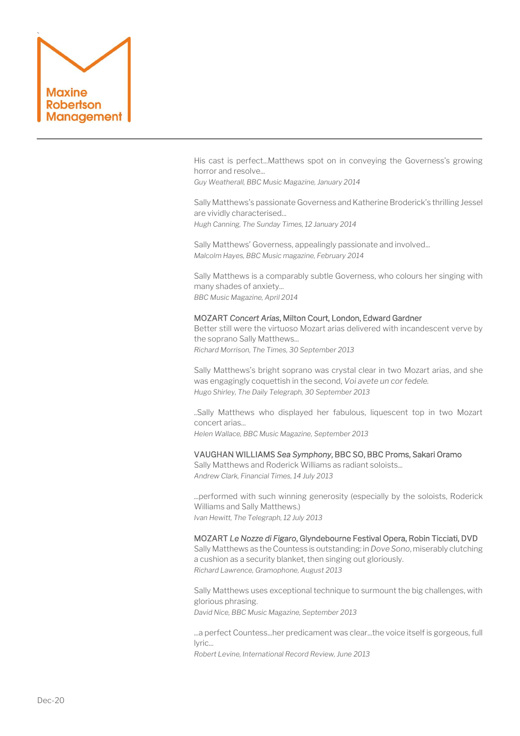

His cast is perfect...Matthews spot on in conveying the Governess's growing horror and resolve...

*Guy Weatherall, BBC Music Magazine, January 2014*

Sally Matthews's passionate Governess and Katherine Broderick's thrilling Jessel are vividly characterised... *Hugh Canning, The Sunday Times, 12 January 2014*

Sally Matthews' Governess, appealingly passionate and involved... *Malcolm Hayes, BBC Music magazine, February 2014*

Sally Matthews is a comparably subtle Governess, who colours her singing with many shades of anxiety... *BBC Music Magazine, April 2014*

## MOZART *Concert Arias*, Milton Court, London, Edward Gardner

Better still were the virtuoso Mozart arias delivered with incandescent verve by the soprano Sally Matthews... *Richard Morrison, The Times, 30 September 2013*

Sally Matthews's bright soprano was crystal clear in two Mozart arias, and she was engagingly coquettish in the second, *Voi avete un cor fedele. Hugo Shirley, The Daily Telegraph, 30 September 2013*

..Sally Matthews who displayed her fabulous, liquescent top in two Mozart concert arias...

*Helen Wallace, BBC Music Magazine, September 2013*

## VAUGHAN WILLIAMS *Sea Symphony*, BBC SO, BBC Proms, Sakari Oramo

Sally Matthews and Roderick Williams as radiant soloists... *Andrew Clark, Financial Times, 14 July 2013*

...performed with such winning generosity (especially by the soloists, Roderick Williams and Sally Matthews.) *Ivan Hewitt, The Telegraph, 12 July 2013*

## MOZART *Le Nozze di Figaro*, Glyndebourne Festival Opera, Robin Ticciati, DVD

Sally Matthews as the Countess is outstanding: in *Dove Sono*, miserably clutching a cushion as a security blanket, then singing out gloriously. *Richard Lawrence, Gramophone, August 2013*

Sally Matthews uses exceptional technique to surmount the big challenges, with glorious phrasing. *David Nice, BBC Music Magazine, September 2013*

...a perfect Countess...her predicament was clear...the voice itself is gorgeous, full lyric...

*Robert Levine, International Record Review, June 2013*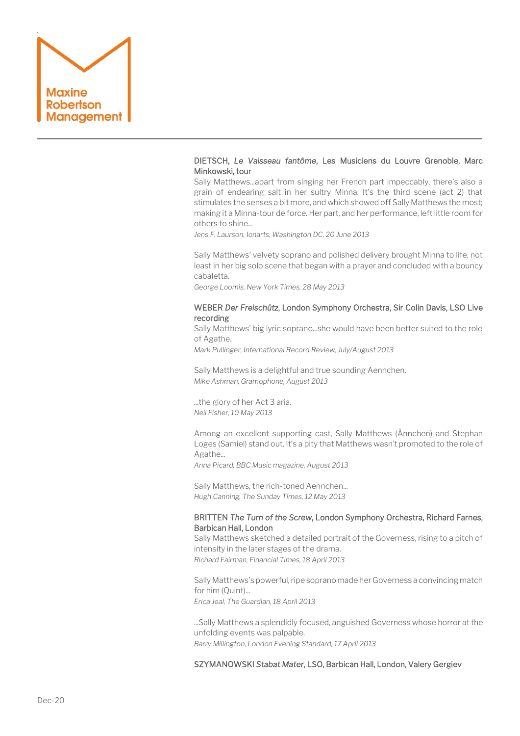

# DIETSCH, *Le Vaisseau fantôme*, Les Musiciens du Louvre Grenoble, Marc Minkowski, tour

Sally Matthews...apart from singing her French part impeccably, there's also a grain of endearing salt in her sultry Minna. It's the third scene (act 2) that stimulates the senses a bit more, and which showed off Sally Matthews the most; making it a Minna-tour de force. Her part, and her performance, left little room for others to shine...

*Jens F. Laurson, Ionarts, Washington DC, 20 June 2013*

Sally Matthews' velvety soprano and polished delivery brought Minna to life, not least in her big solo scene that began with a prayer and concluded with a bouncy cabaletta.

*George Loomis, New York Times, 28 May 2013*

## WEBER *Der Freischütz*, London Symphony Orchestra, Sir Colin Davis, LSO Live recording

Sally Matthews' big lyric soprano...she would have been better suited to the role of Agathe.

*Mark Pullinger, International Record Review, July/August 2013*

Sally Matthews is a delightful and true sounding Aennchen. *Mike Ashman, Gramophone, August 2013*

...the glory of her Act 3 aria. *Neil Fisher, 10 May 2013*

Among an excellent supporting cast, Sally Matthews (Ännchen) and Stephan Loges (Samiel) stand out. It's a pity that Matthews wasn't promoted to the role of Agathe...

*Anna Picard, BBC Music magazine, August 2013*

Sally Matthews, the rich-toned Aennchen... *Hugh Canning, The Sunday Times, 12 May 2013*

## BRITTEN *The Turn of the Screw*, London Symphony Orchestra, Richard Farnes, Barbican Hall, London

Sally Matthews sketched a detailed portrait of the Governess, rising to a pitch of intensity in the later stages of the drama.

*Richard Fairman, Financial Times, 18 April 2013*

Sally Matthews's powerful, ripe soprano made her Governess a convincing match for him (Quint)...

*Erica Jeal, The Guardian, 18 April 2013*

...Sally Matthews a splendidly focused, anguished Governess whose horror at the unfolding events was palpable. *Barry Millington, London Evening Standard, 17 April 2013*

SZYMANOWSKI *Stabat Mater*, LSO, Barbican Hall, London, Valery Gergiev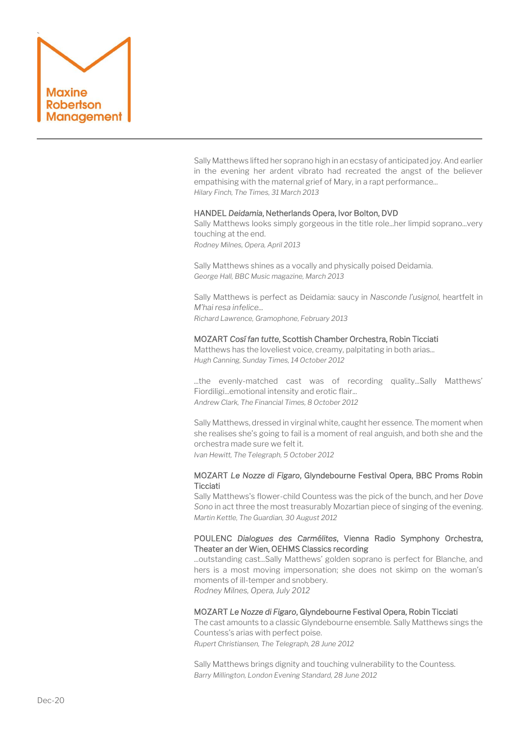

Sally Matthews lifted her soprano high in an ecstasy of anticipated joy. And earlier in the evening her ardent vibrato had recreated the angst of the believer empathising with the maternal grief of Mary, in a rapt performance... *Hilary Finch, The Times, 31 March 2013*

#### HANDEL *Deidamia*, Netherlands Opera, Ivor Bolton, DVD

Sally Matthews looks simply gorgeous in the title role...her limpid soprano...very touching at the end. *Rodney Milnes, Opera, April 2013*

Sally Matthews shines as a vocally and physically poised Deidamia. *George Hall, BBC Music magazine, March 2013*

Sally Matthews is perfect as Deidamia: saucy in *Nasconde l'usignol,* heartfelt in *M'hai resa infelice... Richard Lawrence, Gramophone, February 2013* 

# MOZART *Cosí fan tutte*, Scottish Chamber Orchestra, Robin Ticciati

Matthews has the loveliest voice, creamy, palpitating in both arias... *Hugh Canning, Sunday Times, 14 October 2012*

...the evenly-matched cast was of recording quality...Sally Matthews' Fiordiligi...emotional intensity and erotic flair... *Andrew Clark, The Financial Times, 8 October 2012*

Sally Matthews, dressed in virginal white, caught her essence. The moment when she realises she's going to fail is a moment of real anguish, and both she and the orchestra made sure we felt it.

*Ivan Hewitt, The Telegraph, 5 October 2012*

## MOZART *Le Nozze di Figaro*, Glyndebourne Festival Opera, BBC Proms Robin **Ticciati**

[Sally Matthews's](http://www.sallymatthews.com/) flower-child Countess was the pick of the bunch, and her *Dove Sono* in act three the most treasurably Mozartian piece of singing of the evening. *Martin Kettle, The Guardian, 30 August 2012*

## POULENC *Dialogues des Carmélites*, Vienna Radio Symphony Orchestra, Theater an der Wien, OEHMS Classics recording

...outstanding cast...Sally Matthews' golden soprano is perfect for Blanche, and hers is a most moving impersonation; she does not skimp on the woman's moments of ill-temper and snobbery. *Rodney Milnes, Opera, July 2012*

MOZART *Le Nozze di Figaro*, Glyndebourne Festival Opera, Robin Ticciati

The cast amounts to a classic Glyndebourne ensemble. Sally Matthews sings the Countess's arias with perfect poise.

*Rupert Christiansen, The Telegraph, 28 June 2012*

Sally Matthews brings dignity and touching vulnerability to the Countess. *Barry Millington, London Evening Standard, 28 June 2012*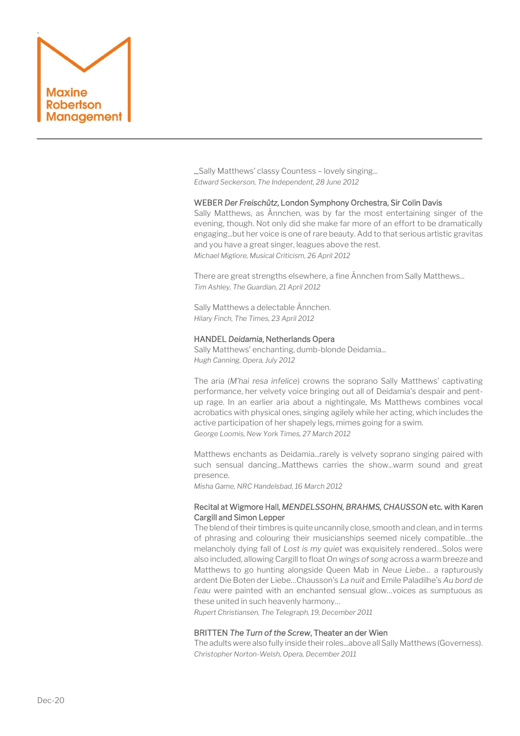

...Sally Matthews' classy Countess – lovely singing... *Edward Seckerson, The Independent, 28 June 2012*

#### WEBER *Der Freischütz*, London Symphony Orchestra, Sir Colin Davis

Sally Matthews, as Ännchen, was by far the most entertaining singer of the evening, though. Not only did she make far more of an effort to be dramatically engaging...but her voice is one of rare beauty. Add to that serious artistic gravitas and you have a great singer, leagues above the rest. *Michael Migliore, Musical Criticism, 26 April 2012*

There are great strengths elsewhere, a fine Ännchen from Sally Matthews... *Tim Ashley, The Guardian, 21 April 2012*

Sally Matthews a delectable Ännchen. *Hilary Finch, The Times, 23 April 2012*

## HANDEL *Deidamia*, Netherlands Opera

Sally Matthews' enchanting, dumb-blonde Deidamia... *Hugh Canning, Opera, July 2012*

The aria (*M'hai resa infelice*) crowns the soprano Sally Matthews' captivating performance, her velvety voice bringing out all of Deidamia's despair and pentup rage. In an earlier aria about a nightingale, Ms Matthews combines vocal acrobatics with physical ones, singing agilely while her acting, which includes the active participation of her shapely legs, mimes going for a swim. *George Loomis, New York Times, 27 March 2012*

Matthews enchants as Deidamia...rarely is velvety soprano singing paired with such sensual dancing...Matthews carries the show...warm sound and great presence.

*Misha Game, NRC Handelsbad, 16 March 2012*

## Recital at Wigmore Hall, *MENDELSSOHN, BRAHMS, CHAUSSON* etc*.* with Karen Cargill and Simon Lepper

The blend of their timbres is quite uncannily close, smooth and clean, and in terms of phrasing and colouring their musicianships seemed nicely compatible…the melancholy dying fall of *Lost is my quiet* was exquisitely rendered…Solos were also included, allowing Cargill to float *On wings of song* across a warm breeze and Matthews to go hunting alongside Queen Mab in *Neue Liebe…* a rapturously ardent Die Boten der Liebe…Chausson's *La nuit* and Emile Paladilhe's *Au bord de l'eau* were painted with an enchanted sensual glow…voices as sumptuous as these united in such heavenly harmony…

*Rupert Christiansen, The Telegraph, 19, December 2011*

#### BRITTEN *The Turn of the Screw*, Theater an der Wien

The adults were also fully inside their roles...above all Sally Matthews (Governess). *Christopher Norton-Welsh, Opera, December 2011*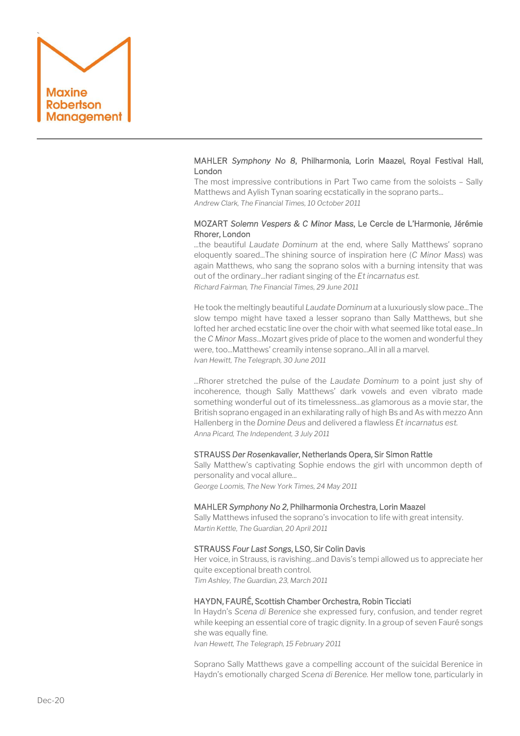

# MAHLER *Symphony No 8*, Philharmonia, Lorin Maazel, Royal Festival Hall, London

The most impressive contributions in Part Two came from the soloists – Sally Matthews and Aylish Tynan soaring ecstatically in the soprano parts... *Andrew Clark, The Financial Times, 10 October 2011*

# MOZART *Solemn Vespers & C Minor Mass*, Le Cercle de L'Harmonie, Jérémie Rhorer, London

...the beautiful *Laudate Dominum* at the end, where Sally Matthews' soprano eloquently soared...The shining source of inspiration here (*C Minor Mass*) was again Matthews, who sang the soprano solos with a burning intensity that was out of the ordinary...her radiant singing of the *Et incarnatus est. Richard Fairman, The Financial Times, 29 June 2011*

He took the meltingly beautiful *Laudate Dominum* at a luxuriously slow pace...The slow tempo might have taxed a lesser soprano than Sally Matthews, but she lofted her arched ecstatic line over the choir with what seemed like total ease...In the *C Minor Mass*...Mozart gives pride of place to the women and wonderful they were, too...Matthews' creamily intense soprano...All in all a marvel. *Ivan Hewitt, The Telegraph, 30 June 2011*

...Rhorer stretched the pulse of the *Laudate Dominum* to a point just shy of incoherence, though Sally Matthews' dark vowels and even vibrato made something wonderful out of its timelessness...as glamorous as a movie star, the British soprano engaged in an exhilarating rally of high Bs and As with mezzo Ann Hallenberg in the *Domine Deus* and delivered a flawless *Et incarnatus est. Anna Picard, The Independent, 3 July 2011*

## STRAUSS *Der Rosenkavalier*, Netherlands Opera, Sir Simon Rattle

Sally Matthew's captivating Sophie endows the girl with uncommon depth of personality and vocal allure...

*George Loomis, The New York Times, 24 May 2011*

## MAHLER *Symphony No 2*, Philharmonia Orchestra, Lorin Maazel

Sally Matthews infused the soprano's invocation to life with great intensity. *Martin Kettle, The Guardian, 20 April 2011*

## STRAUSS *Four Last Songs*, LSO, Sir Colin Davis

Her voice, in Strauss, is ravishing...and Davis's tempi allowed us to appreciate her quite exceptional breath control. *Tim Ashley, The Guardian, 23, March 2011*

## HAYDN, FAURÉ, Scottish Chamber Orchestra, Robin Ticciati

In Haydn's *Scena di Berenice* she expressed fury, confusion, and tender regret while keeping an essential core of tragic dignity. In a group of seven Fauré songs she was equally fine.

*Ivan Hewett, The Telegraph, 15 February 2011*

Soprano Sally Matthews gave a compelling account of the suicidal Berenice in Haydn's emotionally charged *Scena di Berenice.* Her mellow tone, particularly in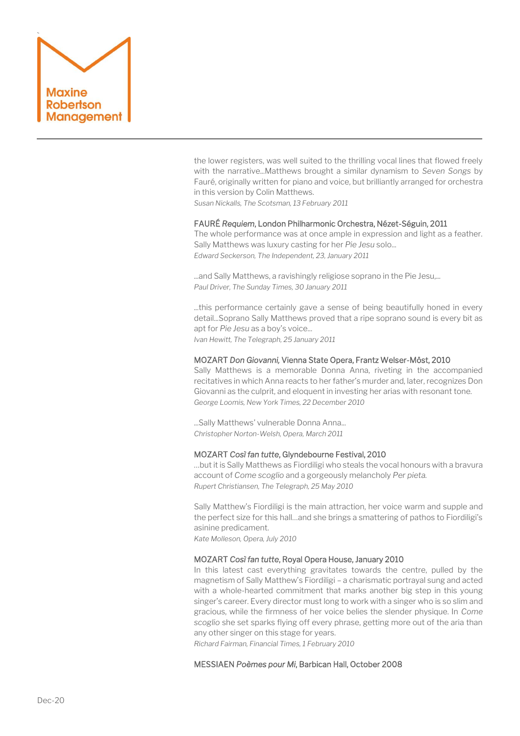

the lower registers, was well suited to the thrilling vocal lines that flowed freely with the narrative...Matthews brought a similar dynamism to *Seven Songs* by Fauré, originally written for piano and voice, but brilliantly arranged for orchestra in this version by Colin Matthews.

*Susan Nickalls, The Scotsman, 13 February 2011*

## FAURÉ *Requiem*, London Philharmonic Orchestra, Nézet-Séguin, 2011

The whole performance was at once ample in expression and light as a feather. Sally Matthews was luxury casting for her *Pie Jesu* solo... *Edward Seckerson, The Independent, 23, January 2011*

...and Sally Matthews, a ravishingly religiose soprano in the Pie Jesu,... *Paul Driver, The Sunday Times, 30 January 2011*

...this performance certainly gave a sense of being beautifully honed in every detail...Soprano Sally Matthews proved that a ripe soprano sound is every bit as apt for *Pie Jesu* as a boy's voice... *Ivan Hewitt, The Telegraph, 25 January 2011*

## MOZART *Don Giovanni,* Vienna State Opera, Frantz Welser-Möst, 2010

Sally Matthews is a memorable Donna Anna, riveting in the accompanied recitatives in which Anna reacts to her father's murder and, later, recognizes Don Giovanni as the culprit, and eloquent in investing her arias with resonant tone. *George Loomis, New York Times, 22 December 2010*

...Sally Matthews' vulnerable Donna Anna... *Christopher Norton-Welsh, Opera, March 2011*

## MOZART *Così fan tutte*, Glyndebourne Festival, 2010

…but it is Sally Matthews as Fiordiligi who steals the vocal honours with a bravura account of *Come scoglio* and a gorgeously melancholy *Per pieta. Rupert Christiansen, The Telegraph, 25 May 2010*

Sally Matthew's Fiordiligi is the main attraction, her voice warm and supple and the perfect size for this hall…and she brings a smattering of pathos to Fiordiligi's asinine predicament.

*Kate Molleson, Opera, July 2010*

## MOZART *Così fan tutte*, Royal Opera House, January 2010

In this latest cast everything gravitates towards the centre, pulled by the magnetism of Sally Matthew's Fiordiligi – a charismatic portrayal sung and acted with a whole-hearted commitment that marks another big step in this young singer's career. Every director must long to work with a singer who is so slim and gracious, while the firmness of her voice belies the slender physique. In *Come scoglio* she set sparks flying off every phrase, getting more out of the aria than any other singer on this stage for years.

*Richard Fairman, Financial Times, 1 February 2010*

## MESSIAEN *Poèmes pour Mi*, Barbican Hall, October 2008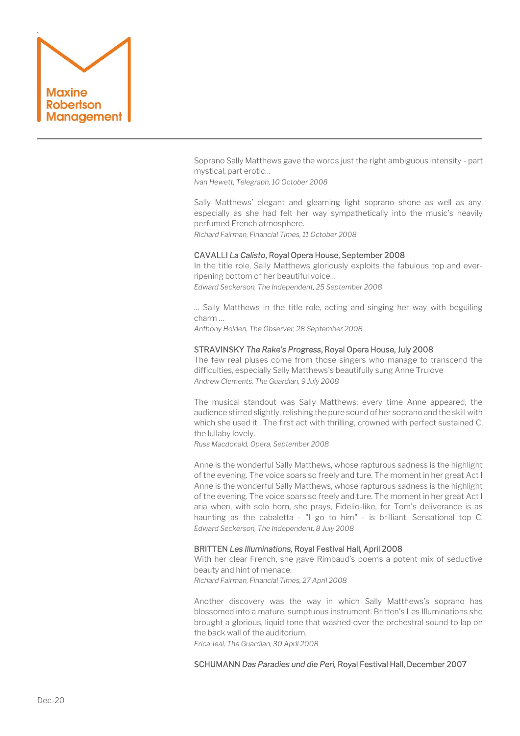

Soprano Sally Matthews gave the words just the right ambiguous intensity - part mystical, part erotic…

*Ivan Hewett, Telegraph, 10 October 2008*

Sally Matthews' elegant and gleaming light soprano shone as well as any, especially as she had felt her way sympathetically into the music's heavily perfumed French atmosphere. *Richard Fairman, Financial Times, 11 October 2008*

## CAVALLI *La Calisto*, Royal Opera House, September 2008

In the title role, Sally Matthews gloriously exploits the fabulous top and everripening bottom of her beautiful voice… *Edward Seckerson, The Independent, 25 September 2008* 

… Sally Matthews in the title role, acting and singing her way with beguiling charm …

*Anthony Holden, The Observer, 28 September 2008* 

## STRAVINSKY *The Rake's Progress*, Royal Opera House, July 2008

The few real pluses come from those singers who manage to transcend the difficulties, especially Sally Matthews's beautifully sung Anne Trulove *Andrew Clements, The Guardian, 9 July 2008*

The musical standout was Sally Matthews: every time Anne appeared, the audience stirred slightly, relishing the pure sound of her soprano and the skill with which she used it . The first act with thrilling, crowned with perfect sustained C, the lullaby lovely.

*Russ Macdonald, Opera, September 2008*

Anne is the wonderful Sally Matthews, whose rapturous sadness is the highlight of the evening. The voice soars so freely and ture. The moment in her great Act I Anne is the wonderful Sally Matthews, whose rapturous sadness is the highlight of the evening. The voice soars so freely and ture. The moment in her great Act I aria when, with solo horn, she prays, Fidelio-like, for Tom's deliverance is as haunting as the cabaletta - "I go to him" - is brilliant. Sensational top C. *Edward Seckerson, The Independent, 8 July 2008*

## BRITTEN *Les Illuminations,* Royal Festival Hall, April 2008

With her clear French, she gave Rimbaud's poems a potent mix of seductive beauty and hint of menace.

*Richard Fairman, Financial Times, 27 April 2008*

Another discovery was the way in which Sally Matthews's soprano has blossomed into a mature, sumptuous instrument. Britten's Les Illuminations she brought a glorious, liquid tone that washed over the orchestral sound to lap on the back wall of the auditorium.

*Erica Jeal, The Guardian, 30 April 2008*

## SCHUMANN *Das Paradies und die Peri,* Royal Festival Hall, December 2007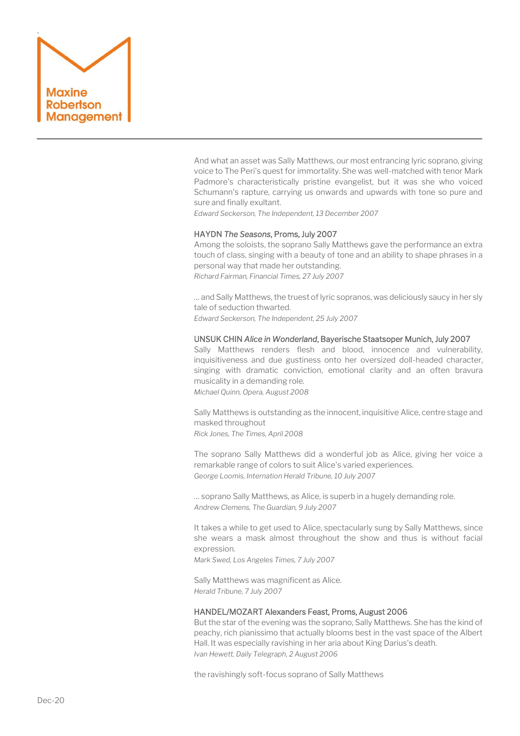

And what an asset was Sally Matthews, our most entrancing lyric soprano, giving voice to The Peri's quest for immortality. She was well-matched with tenor Mark Padmore's characteristically pristine evangelist, but it was she who voiced Schumann's rapture, carrying us onwards and upwards with tone so pure and sure and finally exultant.

*Edward Seckerson, The Independent, 13 December 2007*

## HAYDN *The Seasons*, Proms, July 2007

Among the soloists, the soprano Sally Matthews gave the performance an extra touch of class, singing with a beauty of tone and an ability to shape phrases in a personal way that made her outstanding. *Richard Fairman, Financial Times, 27 July 2007*

… and Sally Matthews, the truest of lyric sopranos, was deliciously saucy in her sly tale of seduction thwarted.

*Edward Seckerson, The Independent, 25 July 2007*

## UNSUK CHIN *Alice in Wonderland*, Bayerische Staatsoper Munich, July 2007

Sally Matthews renders flesh and blood, innocence and vulnerability, inquisitiveness and due gustiness onto her oversized doll-headed character, singing with dramatic conviction, emotional clarity and an often bravura musicality in a demanding role.

*Michael Quinn, Opera, August 2008*

Sally Matthews is outstanding as the innocent, inquisitive Alice, centre stage and masked throughout

*Rick Jones, The Times, April 2008*

The soprano Sally Matthews did a wonderful job as Alice, giving her voice a remarkable range of colors to suit Alice's varied experiences. *George Loomis, Internation Herald Tribune, 10 July 2007*

… soprano Sally Matthews, as Alice, is superb in a hugely demanding role. *Andrew Clemens, The Guardian, 9 July 2007*

It takes a while to get used to Alice, spectacularly sung by Sally Matthews, since she wears a mask almost throughout the show and thus is without facial expression.

*Mark Swed, Los Angeles Times, 7 July 2007*

Sally Matthews was magnificent as Alice. *Herald Tribune, 7 July 2007*

#### HANDEL/MOZART Alexanders Feast, Proms, August 2006

But the star of the evening was the soprano, Sally Matthews. She has the kind of peachy, rich pianissimo that actually blooms best in the vast space of the Albert Hall. It was especially ravishing in her aria about King Darius's death. *Ivan Hewett, Daily Telegraph, 2 August 2006*

the ravishingly soft-focus soprano of Sally Matthews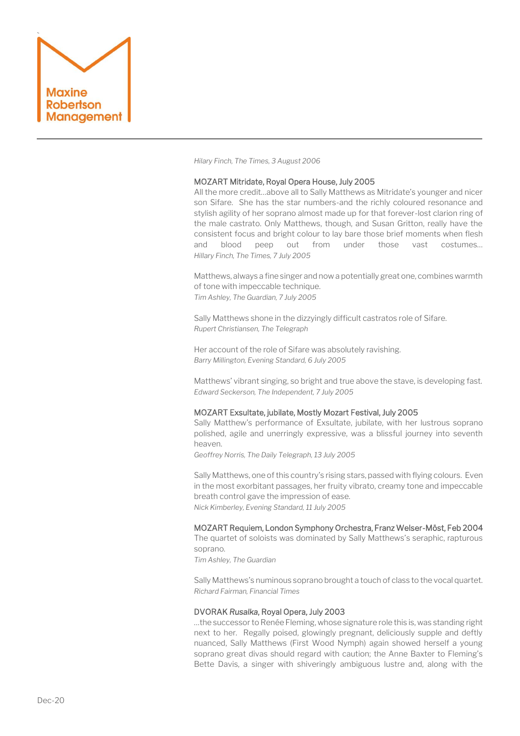

*Hilary Finch, The Times, 3 August 2006*

#### MOZART Mitridate, Royal Opera House, July 2005

All the more credit…above all to Sally Matthews as Mitridate's younger and nicer son Sifare. She has the star numbers-and the richly coloured resonance and stylish agility of her soprano almost made up for that forever-lost clarion ring of the male castrato. Only Matthews, though, and Susan Gritton, really have the consistent focus and bright colour to lay bare those brief moments when flesh and blood peep out from under those vast costumes… *Hillary Finch, The Times, 7 July 2005*

Matthews, always a fine singer and now a potentially great one, combines warmth of tone with impeccable technique. *Tim Ashley, The Guardian, 7 July 2005*

Sally Matthews shone in the dizzyingly difficult castratos role of Sifare. *Rupert Christiansen, The Telegraph*

Her account of the role of Sifare was absolutely ravishing. *Barry Millington, Evening Standard, 6 July 2005*

Matthews' vibrant singing, so bright and true above the stave, is developing fast. *Edward Seckerson, The Independent, 7 July 2005*

## MOZART Exsultate, jubilate, Mostly Mozart Festival, July 2005

Sally Matthew's performance of Exsultate, jubilate, with her lustrous soprano polished, agile and unerringly expressive, was a blissful journey into seventh heaven.

*Geoffrey Norris, The Daily Telegraph, 13 July 2005*

Sally Matthews, one of this country's rising stars, passed with flying colours. Even in the most exorbitant passages, her fruity vibrato, creamy tone and impeccable breath control gave the impression of ease. *Nick Kimberley, Evening Standard, 11 July 2005*

## MOZART Requiem, London Symphony Orchestra, Franz Welser-Möst, Feb 2004

The quartet of soloists was dominated by Sally Matthews's seraphic, rapturous soprano.

*Tim Ashley, The Guardian*

Sally Matthews's numinous soprano brought a touch of class to the vocal quartet. *Richard Fairman, Financial Times*

#### DVORAK *Rusalka*, Royal Opera, July 2003

…the successor to Renée Fleming, whose signature role this is, was standing right next to her. Regally poised, glowingly pregnant, deliciously supple and deftly nuanced, Sally Matthews (First Wood Nymph) again showed herself a young soprano great divas should regard with caution; the Anne Baxter to Fleming's Bette Davis, a singer with shiveringly ambiguous lustre and, along with the